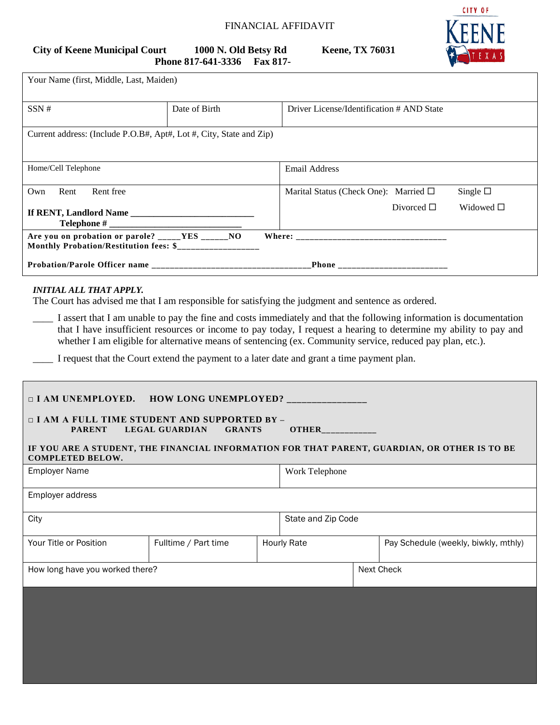## FINANCIAL AFFIDAVIT

# **Phone 817-641-3336 Fax 817-**

**City of Keene Municipal Court 1000 N. Old Betsy Rd Keene, TX 76031**



| City of Keene Municipal Court | 1000 N. Old Betsy Rd |                 |
|-------------------------------|----------------------|-----------------|
|                               | Phone 817-641-3336   | <b>Fax 817-</b> |

| Your Name (first, Middle, Last, Maiden)                                                                    |               |                                               |                   |
|------------------------------------------------------------------------------------------------------------|---------------|-----------------------------------------------|-------------------|
| SSN#                                                                                                       | Date of Birth | Driver License/Identification # AND State     |                   |
| Current address: (Include P.O.B#, Apt#, Lot #, City, State and Zip)                                        |               |                                               |                   |
| Home/Cell Telephone                                                                                        |               | <b>Email Address</b>                          |                   |
| Rent free<br>Rent<br>Own                                                                                   |               | Marital Status (Check One): Married $\square$ | Single $\square$  |
|                                                                                                            |               | Divorced $\Box$                               | Widowed $\square$ |
| Are you on probation or parole? _____YES _____NO<br>Monthly Probation/Restitution fees: \$________________ |               |                                               |                   |
|                                                                                                            |               | _Phone __________________________             |                   |

#### *INITIAL ALL THAT APPLY.*

The Court has advised me that I am responsible for satisfying the judgment and sentence as ordered.

\_\_\_\_ I assert that I am unable to pay the fine and costs immediately and that the following information is documentation that I have insufficient resources or income to pay today, I request a hearing to determine my ability to pay and whether I am eligible for alternative means of sentencing (ex. Community service, reduced pay plan, etc.).

I request that the Court extend the payment to a later date and grant a time payment plan.

| <b>I AM UNEMPLOYED. HOW LONG UNEMPLOYED?</b> ______________<br>□ I AM A FULL TIME STUDENT AND SUPPORTED BY -<br><b>LEGAL GUARDIAN</b><br><b>PARENT</b><br><b>GRANTS</b><br><b>OTHER</b> |                      |                    |                |                                      |                                                                                              |
|-----------------------------------------------------------------------------------------------------------------------------------------------------------------------------------------|----------------------|--------------------|----------------|--------------------------------------|----------------------------------------------------------------------------------------------|
| <b>COMPLETED BELOW.</b>                                                                                                                                                                 |                      |                    |                |                                      | IF YOU ARE A STUDENT, THE FINANCIAL INFORMATION FOR THAT PARENT, GUARDIAN, OR OTHER IS TO BE |
| <b>Employer Name</b>                                                                                                                                                                    |                      |                    | Work Telephone |                                      |                                                                                              |
| Employer address                                                                                                                                                                        |                      |                    |                |                                      |                                                                                              |
| City                                                                                                                                                                                    |                      | State and Zip Code |                |                                      |                                                                                              |
| Your Title or Position                                                                                                                                                                  | Fulltime / Part time | <b>Hourly Rate</b> |                | Pay Schedule (weekly, biwkly, mthly) |                                                                                              |
| How long have you worked there?                                                                                                                                                         |                      |                    |                |                                      | Next Check                                                                                   |
|                                                                                                                                                                                         |                      |                    |                |                                      |                                                                                              |
|                                                                                                                                                                                         |                      |                    |                |                                      |                                                                                              |
|                                                                                                                                                                                         |                      |                    |                |                                      |                                                                                              |
|                                                                                                                                                                                         |                      |                    |                |                                      |                                                                                              |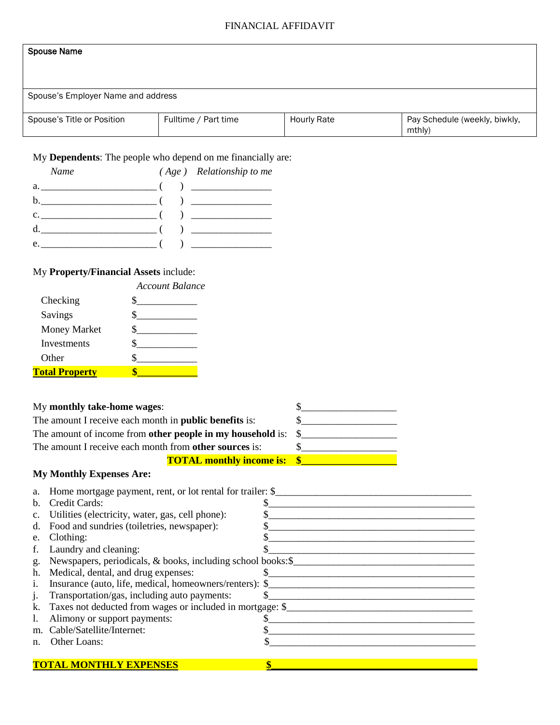## FINANCIAL AFFIDAVIT

## Spouse Name

Spouse's Employer Name and address

| Spouse's Title or Position | Fulltime / Part time | <b>Hourly Rate</b> | Pay Schedule (weekly, biwkly, |
|----------------------------|----------------------|--------------------|-------------------------------|
|                            |                      |                    | mthly)                        |

My **Dependents**: The people who depend on me financially are:

| Name                                                 | $(Age)$ Relationship to me      |
|------------------------------------------------------|---------------------------------|
| a. $\qquad \qquad$ ( ) $\qquad \qquad$               |                                 |
|                                                      |                                 |
| c. $\frac{1}{2}$ ( ) $\frac{1}{2}$ ( ) $\frac{1}{2}$ |                                 |
|                                                      |                                 |
| e.                                                   | ) and the set of $\overline{a}$ |

# My **Property/Financial Assets** include:

| Account Balance |
|-----------------|
|                 |
|                 |
|                 |
|                 |
|                 |
|                 |
|                 |

| My monthly take-home wages:                                        | \$                                                                  |  |  |
|--------------------------------------------------------------------|---------------------------------------------------------------------|--|--|
| The amount I receive each month in <b>public benefits</b> is:      |                                                                     |  |  |
| The amount of income from other people in my household is:         |                                                                     |  |  |
| The amount I receive each month from other sources is:             | \$.                                                                 |  |  |
| <b>TOTAL monthly income is:</b>                                    | $\mathbf{\$}$                                                       |  |  |
| <b>My Monthly Expenses Are:</b>                                    |                                                                     |  |  |
| Home mortgage payment, rent, or lot rental for trailer: \$<br>a.   |                                                                     |  |  |
| b.<br>Credit Cards:                                                |                                                                     |  |  |
| Utilities (electricity, water, gas, cell phone):<br>$\mathbf{c}$ . |                                                                     |  |  |
| Food and sundries (toiletries, newspaper):<br>d.                   | <u> 1989 - Andrea Stadt Britain, amerikansk politiker (d. 1989)</u> |  |  |
| Clothing:<br>e.                                                    |                                                                     |  |  |
| f.<br>Laundry and cleaning:                                        |                                                                     |  |  |
| Newspapers, periodicals, & books, including school books: \$<br>g. |                                                                     |  |  |
| h. Medical, dental, and drug expenses:                             |                                                                     |  |  |
| i.                                                                 |                                                                     |  |  |
| Transportation/gas, including auto payments:<br>j.                 |                                                                     |  |  |
| k.                                                                 |                                                                     |  |  |
| Alimony or support payments:<br>1.                                 | <u> 1989 - Andrea Stadt Britain, fransk politik (d. 1989)</u>       |  |  |
| Cable/Satellite/Internet:<br>m.                                    |                                                                     |  |  |
| Other Loans:<br>n.                                                 |                                                                     |  |  |
|                                                                    |                                                                     |  |  |
| <b>TOTAL MONTHLY EXPENSES</b>                                      |                                                                     |  |  |